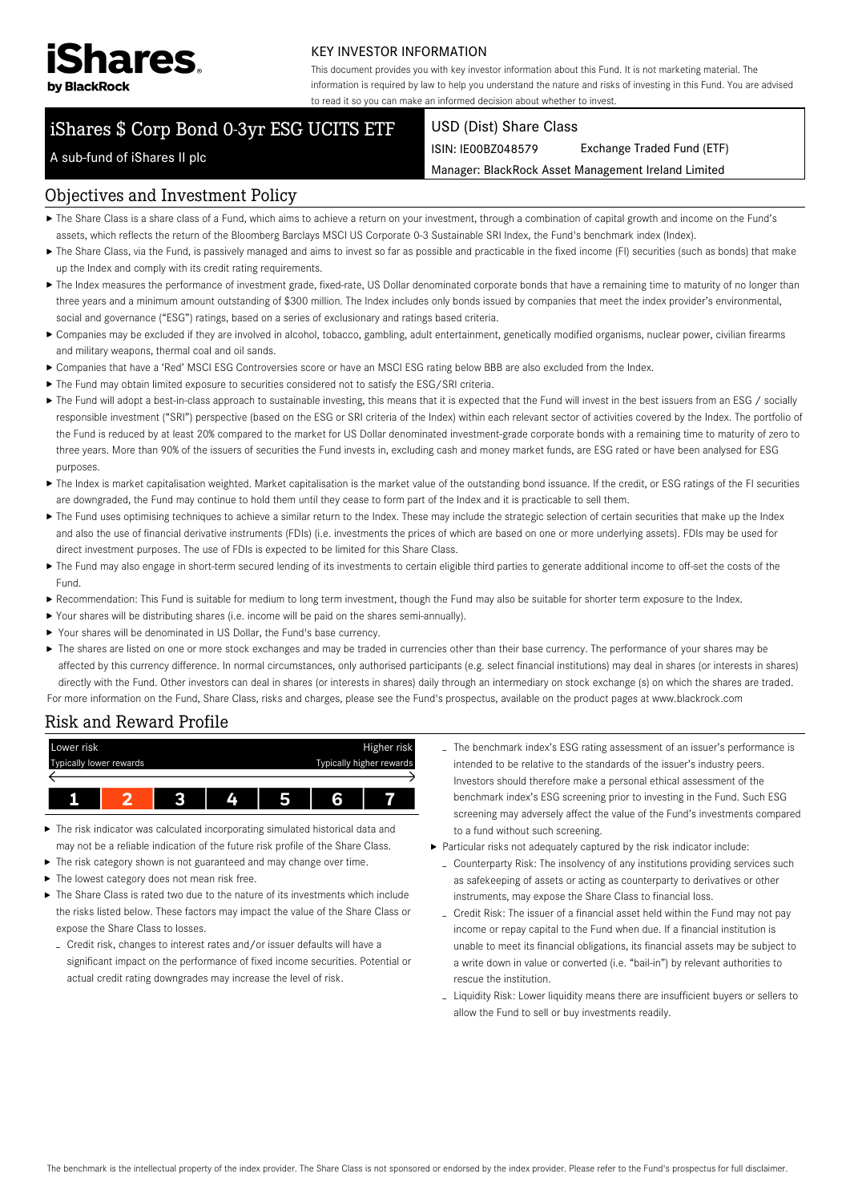

#### KEY INVESTOR INFORMATION

This document provides you with key investor information about this Fund. It is not marketing material. The information is required by law to help you understand the nature and risks of investing in this Fund. You are advised to read it so you can make an informed decision about whether to invest.

# iShares \$ Corp Bond 0-3yr ESG UCITS ETF

#### USD (Dist) Share Class

ISIN: IE00BZ048579 Exchange Traded Fund (ETF)

Manager: BlackRock Asset Management Ireland Limited

## A sub-fund of iShares II plc

## Objectives and Investment Policy

- The Share Class is a share class of a Fund, which aims to achieve a return on your investment, through a combination of capital growth and income on the Fund's assets, which reflects the return of the Bloomberg Barclays MSCI US Corporate 0-3 Sustainable SRI Index, the Fund's benchmark index (Index).
- ▶ The Share Class, via the Fund, is passively managed and aims to invest so far as possible and practicable in the fixed income (FI) securities (such as bonds) that make up the Index and comply with its credit rating requirements.
- ▶ The Index measures the performance of investment grade, fixed-rate, US Dollar denominated corporate bonds that have a remaining time to maturity of no longer than three years and a minimum amount outstanding of \$300 million. The Index includes only bonds issued by companies that meet the index provider's environmental, social and governance ("ESG") ratings, based on a series of exclusionary and ratings based criteria.
- Companies may be excluded if they are involved in alcohol, tobacco, gambling, adult entertainment, genetically modified organisms, nuclear power, civilian firearms and military weapons, thermal coal and oil sands.
- Companies that have a 'Red' MSCI ESG Controversies score or have an MSCI ESG rating below BBB are also excluded from the Index.
- The Fund may obtain limited exposure to securities considered not to satisfy the ESG/SRI criteria.
- ▶ The Fund will adopt a best-in-class approach to sustainable investing, this means that it is expected that the Fund will invest in the best issuers from an ESG / socially responsible investment ("SRI") perspective (based on the ESG or SRI criteria of the Index) within each relevant sector of activities covered by the Index. The portfolio of the Fund is reduced by at least 20% compared to the market for US Dollar denominated investment-grade corporate bonds with a remaining time to maturity of zero to three years. More than 90% of the issuers of securities the Fund invests in, excluding cash and money market funds, are ESG rated or have been analysed for ESG purposes.
- ▶ The Index is market capitalisation weighted. Market capitalisation is the market value of the outstanding bond issuance. If the credit, or ESG ratings of the FI securities are downgraded, the Fund may continue to hold them until they cease to form part of the Index and it is practicable to sell them.
- ▶ The Fund uses optimising techniques to achieve a similar return to the Index. These may include the strategic selection of certain securities that make up the Index and also the use of financial derivative instruments (FDIs) (i.e. investments the prices of which are based on one or more underlying assets). FDIs may be used for direct investment purposes. The use of FDIs is expected to be limited for this Share Class.
- The Fund may also engage in short-term secured lending of its investments to certain eligible third parties to generate additional income to off-set the costs of the Fund.
- Recommendation: This Fund is suitable for medium to long term investment, though the Fund may also be suitable for shorter term exposure to the Index.
- Your shares will be distributing shares (i.e. income will be paid on the shares semi-annually).
- Your shares will be denominated in US Dollar, the Fund's base currency.
- ▶ The shares are listed on one or more stock exchanges and may be traded in currencies other than their base currency. The performance of your shares may be affected by this currency difference. In normal circumstances, only authorised participants (e.g. select financial institutions) may deal in shares (or interests in shares) directly with the Fund. Other investors can deal in shares (or interests in shares) daily through an intermediary on stock exchange (s) on which the shares are traded. For more information on the Fund, Share Class, risks and charges, please see the Fund's prospectus, available on the product pages at www.blackrock.com

### Risk and Reward Profile



- The risk indicator was calculated incorporating simulated historical data and may not be a reliable indication of the future risk profile of the Share Class.
- The risk category shown is not guaranteed and may change over time.
- ▶ The lowest category does not mean risk free.
- $\blacktriangleright$  The Share Class is rated two due to the nature of its investments which include the risks listed below. These factors may impact the value of the Share Class or expose the Share Class to losses.
	- Credit risk, changes to interest rates and/or issuer defaults will have a significant impact on the performance of fixed income securities. Potential or actual credit rating downgrades may increase the level of risk.
- The benchmark index's ESG rating assessment of an issuer's performance is intended to be relative to the standards of the issuer's industry peers. Investors should therefore make a personal ethical assessment of the benchmark index's ESG screening prior to investing in the Fund. Such ESG screening may adversely affect the value of the Fund's investments compared to a fund without such screening.
- Particular risks not adequately captured by the risk indicator include:
	- Counterparty Risk: The insolvency of any institutions providing services such as safekeeping of assets or acting as counterparty to derivatives or other instruments, may expose the Share Class to financial loss.
	- Credit Risk: The issuer of a financial asset held within the Fund may not pay income or repay capital to the Fund when due. If a financial institution is unable to meet its financial obligations, its financial assets may be subject to a write down in value or converted (i.e. "bail-in") by relevant authorities to rescue the institution.
	- Liquidity Risk: Lower liquidity means there are insufficient buyers or sellers to allow the Fund to sell or buy investments readily.